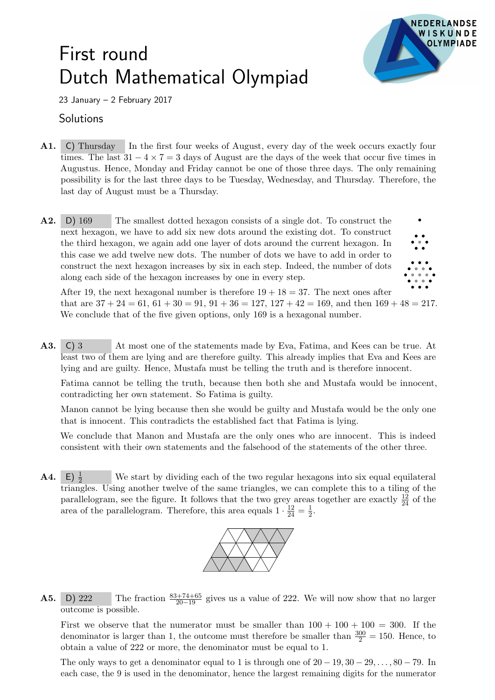## First round Dutch Mathematical Olympiad



23 January – 2 February 2017

## **Solutions**

- A1. C) Thursday In the first four weeks of August, every day of the week occurs exactly four times. The last  $31 - 4 \times 7 = 3$  days of August are the days of the week that occur five times in Augustus. Hence, Monday and Friday cannot be one of those three days. The only remaining possibility is for the last three days to be Tuesday, Wednesday, and Thursday. Therefore, the last day of August must be a Thursday.
- A2. D) 169 The smallest dotted hexagon consists of a single dot. To construct the next hexagon, we have to add six new dots around the existing dot. To construct the third hexagon, we again add one layer of dots around the current hexagon. In this case we add twelve new dots. The number of dots we have to add in order to construct the next hexagon increases by six in each step. Indeed, the number of dots along each side of the hexagon increases by one in every step.



After 19, the next hexagonal number is therefore  $19 + 18 = 37$ . The next ones after that are  $37 + 24 = 61$ ,  $61 + 30 = 91$ ,  $91 + 36 = 127$ ,  $127 + 42 = 169$ , and then  $169 + 48 = 217$ . We conclude that of the five given options, only 169 is a hexagonal number.

A3. C) 3 At most one of the statements made by Eva, Fatima, and Kees can be true. At least two of them are lying and are therefore guilty. This already implies that Eva and Kees are lying and are guilty. Hence, Mustafa must be telling the truth and is therefore innocent.

Fatima cannot be telling the truth, because then both she and Mustafa would be innocent, contradicting her own statement. So Fatima is guilty.

Manon cannot be lying because then she would be guilty and Mustafa would be the only one that is innocent. This contradicts the established fact that Fatima is lying.

We conclude that Manon and Mustafa are the only ones who are innocent. This is indeed consistent with their own statements and the falsehood of the statements of the other three.

 $\mathbf{A4.} \quad \mathsf{E} \big) \frac{1}{2}$ We start by dividing each of the two regular hexagons into six equal equilateral triangles. Using another twelve of the same triangles, we can complete this to a tiling of the parallelogram, see the figure. It follows that the two grey areas together are exactly  $\frac{12}{24}$  of the area of the parallelogram. Therefore, this area equals  $1 \cdot \frac{12}{24} = \frac{1}{2}$  $rac{1}{2}$ .



**A5.** D) 222 The fraction  $\frac{83+74+65}{20-19}$  gives us a value of 222. We will now show that no larger outcome is possible.

First we observe that the numerator must be smaller than  $100 + 100 + 100 = 300$ . If the denominator is larger than 1, the outcome must therefore be smaller than  $\frac{300}{2} = 150$ . Hence, to obtain a value of 222 or more, the denominator must be equal to 1.

The only ways to get a denominator equal to 1 is through one of  $20 - 19, 30 - 29, \ldots, 80 - 79$ . In each case, the 9 is used in the denominator, hence the largest remaining digits for the numerator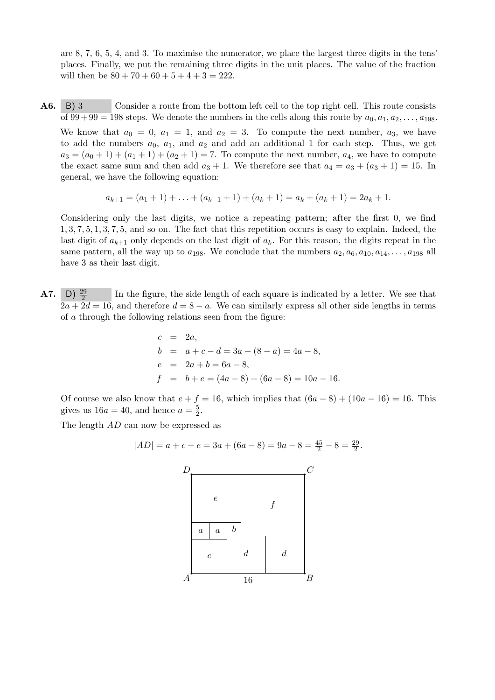are 8, 7, 6, 5, 4, and 3. To maximise the numerator, we place the largest three digits in the tens' places. Finally, we put the remaining three digits in the unit places. The value of the fraction will then be  $80 + 70 + 60 + 5 + 4 + 3 = 222$ .

A6. B) 3 Consider a route from the bottom left cell to the top right cell. This route consists of  $99 + 99 = 198$  steps. We denote the numbers in the cells along this route by  $a_0, a_1, a_2, \ldots, a_{198}$ .

We know that  $a_0 = 0$ ,  $a_1 = 1$ , and  $a_2 = 3$ . To compute the next number,  $a_3$ , we have to add the numbers  $a_0$ ,  $a_1$ , and  $a_2$  and add an additional 1 for each step. Thus, we get  $a_3 = (a_0 + 1) + (a_1 + 1) + (a_2 + 1) = 7$ . To compute the next number,  $a_4$ , we have to compute the exact same sum and then add  $a_3 + 1$ . We therefore see that  $a_4 = a_3 + (a_3 + 1) = 15$ . In general, we have the following equation:

$$
a_{k+1} = (a_1 + 1) + \ldots + (a_{k-1} + 1) + (a_k + 1) = a_k + (a_k + 1) = 2a_k + 1.
$$

Considering only the last digits, we notice a repeating pattern; after the first 0, we find 1, 3, 7, 5, 1, 3, 7, 5, and so on. The fact that this repetition occurs is easy to explain. Indeed, the last digit of  $a_{k+1}$  only depends on the last digit of  $a_k$ . For this reason, the digits repeat in the same pattern, all the way up to  $a_{198}$ . We conclude that the numbers  $a_2, a_6, a_{10}, a_{14}, \ldots, a_{198}$  all have 3 as their last digit.

**A7.** D)  $\frac{29}{2}$ In the figure, the side length of each square is indicated by a letter. We see that  $2a + 2d = 16$ , and therefore  $d = 8 - a$ . We can similarly express all other side lengths in terms of a through the following relations seen from the figure:

$$
c = 2a,
$$
  
\n
$$
b = a + c - d = 3a - (8 - a) = 4a - 8,
$$
  
\n
$$
e = 2a + b = 6a - 8,
$$
  
\n
$$
f = b + e = (4a - 8) + (6a - 8) = 10a - 16.
$$

Of course we also know that  $e + f = 16$ , which implies that  $(6a - 8) + (10a - 16) = 16$ . This gives us  $16a = 40$ , and hence  $a = \frac{5}{2}$  $\frac{5}{2}$ .

The length AD can now be expressed as

$$
|AD| = a + c + e = 3a + (6a - 8) = 9a - 8 = \frac{45}{2} - 8 = \frac{29}{2}.
$$

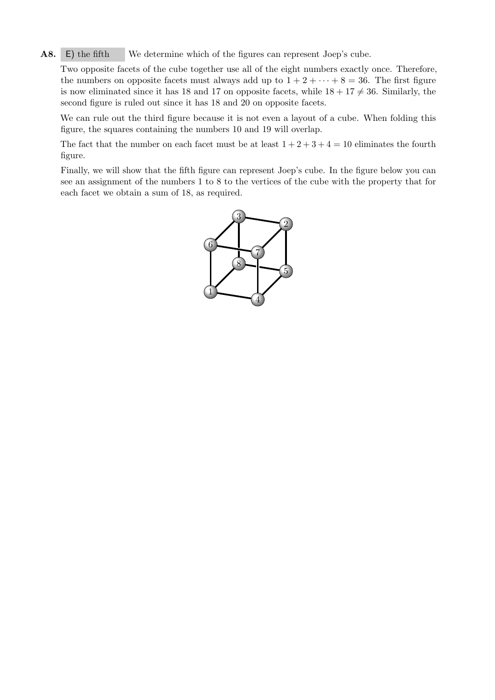A8. E) the fifth We determine which of the figures can represent Joep's cube.

Two opposite facets of the cube together use all of the eight numbers exactly once. Therefore, the numbers on opposite facets must always add up to  $1 + 2 + \cdots + 8 = 36$ . The first figure is now eliminated since it has 18 and 17 on opposite facets, while  $18 + 17 \neq 36$ . Similarly, the second figure is ruled out since it has 18 and 20 on opposite facets.

We can rule out the third figure because it is not even a layout of a cube. When folding this figure, the squares containing the numbers 10 and 19 will overlap.

The fact that the number on each facet must be at least  $1 + 2 + 3 + 4 = 10$  eliminates the fourth figure.

Finally, we will show that the fifth figure can represent Joep's cube. In the figure below you can see an assignment of the numbers 1 to 8 to the vertices of the cube with the property that for each facet we obtain a sum of 18, as required.

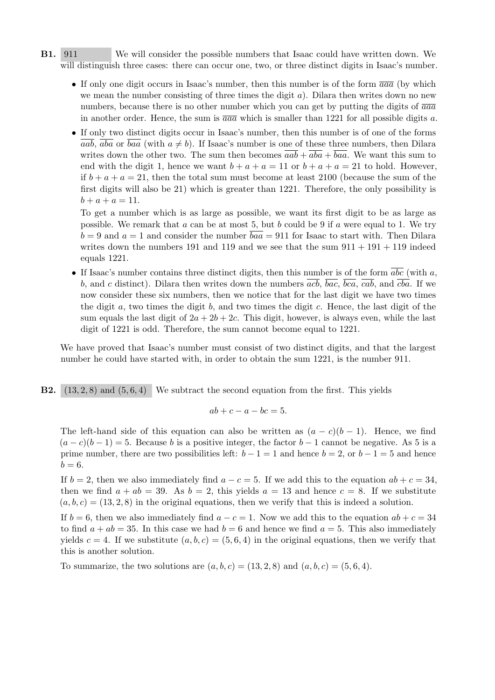- B1. 911 We will consider the possible numbers that Isaac could have written down. We will distinguish three cases: there can occur one, two, or three distinct digits in Isaac's number.
	- If only one digit occurs in Isaac's number, then this number is of the form  $\overline{aaa}$  (by which we mean the number consisting of three times the digit  $a$ ). Dilara then writes down no new numbers, because there is no other number which you can get by putting the digits of  $\overline{aaa}$ in another order. Hence, the sum is  $\overline{aa}a$  which is smaller than 1221 for all possible digits a.
	- If only two distinct digits occur in Isaac's number, then this number is of one of the forms aab, aba or baa (with  $a \neq b$ ). If Isaac's number is one of these three numbers, then Dilara writes down the other two. The sum then becomes  $\overline{aab} + \overline{aba} + \overline{baa}$ . We want this sum to end with the digit 1, hence we want  $b + a + a = 11$  or  $b + a + a = 21$  to hold. However, if  $b + a + a = 21$ , then the total sum must become at least 2100 (because the sum of the first digits will also be 21) which is greater than 1221. Therefore, the only possibility is  $b + a + a = 11.$

To get a number which is as large as possible, we want its first digit to be as large as possible. We remark that  $a$  can be at most 5, but  $b$  could be 9 if  $a$  were equal to 1. We try  $b = 9$  and  $a = 1$  and consider the number  $baa = 911$  for Isaac to start with. Then Dilara writes down the numbers 191 and 119 and we see that the sum  $911 + 191 + 119$  indeed equals 1221.

• If Isaac's number contains three distinct digits, then this number is of the form  $\overline{abc}$  (with a, b, and c distinct). Dilara then writes down the numbers  $\overline{acb}$ ,  $\overline{bac}$ ,  $\overline{bca}$ ,  $\overline{cab}$ , and  $\overline{cba}$ . If we now consider these six numbers, then we notice that for the last digit we have two times the digit  $a$ , two times the digit  $b$ , and two times the digit  $c$ . Hence, the last digit of the sum equals the last digit of  $2a + 2b + 2c$ . This digit, however, is always even, while the last digit of 1221 is odd. Therefore, the sum cannot become equal to 1221.

We have proved that Isaac's number must consist of two distinct digits, and that the largest number he could have started with, in order to obtain the sum 1221, is the number 911.

**B2.**  $(13, 2, 8)$  and  $(5, 6, 4)$  We subtract the second equation from the first. This yields

$$
ab + c - a - bc = 5.
$$

The left-hand side of this equation can also be written as  $(a - c)(b - 1)$ . Hence, we find  $(a-c)(b-1) = 5$ . Because b is a positive integer, the factor  $b-1$  cannot be negative. As 5 is a prime number, there are two possibilities left:  $b - 1 = 1$  and hence  $b = 2$ , or  $b - 1 = 5$  and hence  $b=6$ .

If  $b = 2$ , then we also immediately find  $a - c = 5$ . If we add this to the equation  $ab + c = 34$ , then we find  $a + ab = 39$ . As  $b = 2$ , this yields  $a = 13$  and hence  $c = 8$ . If we substitute  $(a, b, c) = (13, 2, 8)$  in the original equations, then we verify that this is indeed a solution.

If  $b = 6$ , then we also immediately find  $a - c = 1$ . Now we add this to the equation  $ab + c = 34$ to find  $a + ab = 35$ . In this case we had  $b = 6$  and hence we find  $a = 5$ . This also immediately yields  $c = 4$ . If we substitute  $(a, b, c) = (5, 6, 4)$  in the original equations, then we verify that this is another solution.

To summarize, the two solutions are  $(a, b, c) = (13, 2, 8)$  and  $(a, b, c) = (5, 6, 4)$ .